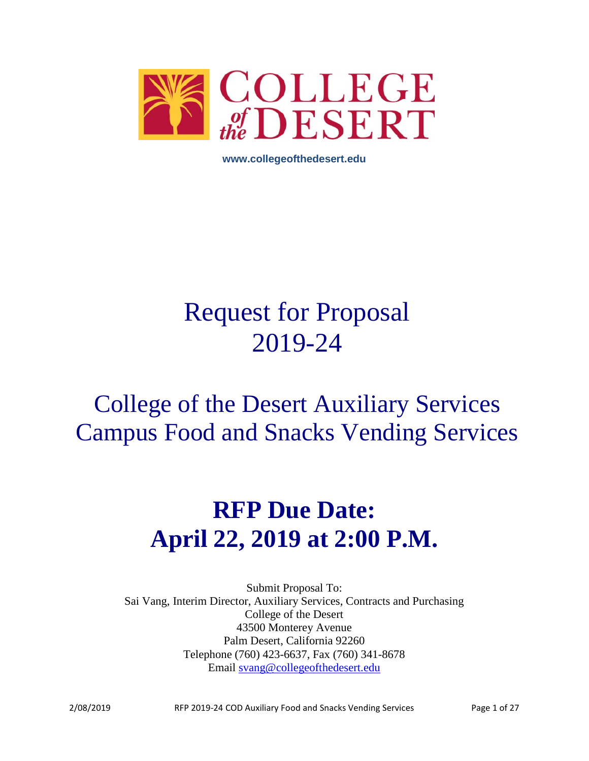

**www.collegeofthedesert.edu**

# Request for Proposal 2019-24

# College of the Desert Auxiliary Services Campus Food and Snacks Vending Services

# **RFP Due Date: April 22, 2019 at 2:00 P.M.**

Submit Proposal To: Sai Vang, Interim Director, Auxiliary Services, Contracts and Purchasing College of the Desert 43500 Monterey Avenue Palm Desert, California 92260 Telephone (760) 423-6637, Fax (760) 341-8678 Email [svang@collegeofthedesert.edu](mailto:svang@collegeofthedesert.edu)

2/08/2019 RFP 2019-24 COD Auxiliary Food and Snacks Vending Services Page 1 of 27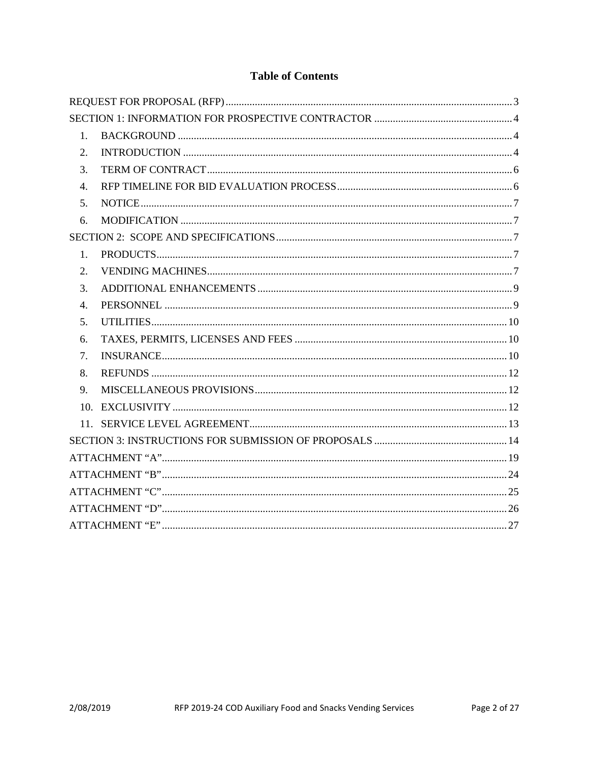# **Table of Contents**

| 1.             |  |  |  |  |
|----------------|--|--|--|--|
| 2.             |  |  |  |  |
| 3.             |  |  |  |  |
| 4.             |  |  |  |  |
| 5.             |  |  |  |  |
| 6.             |  |  |  |  |
|                |  |  |  |  |
| $\mathbf{1}$ . |  |  |  |  |
| 2.             |  |  |  |  |
| 3.             |  |  |  |  |
| 4.             |  |  |  |  |
| 5.             |  |  |  |  |
| 6.             |  |  |  |  |
| 7.             |  |  |  |  |
| 8.             |  |  |  |  |
| 9.             |  |  |  |  |
|                |  |  |  |  |
|                |  |  |  |  |
|                |  |  |  |  |
|                |  |  |  |  |
|                |  |  |  |  |
|                |  |  |  |  |
|                |  |  |  |  |
|                |  |  |  |  |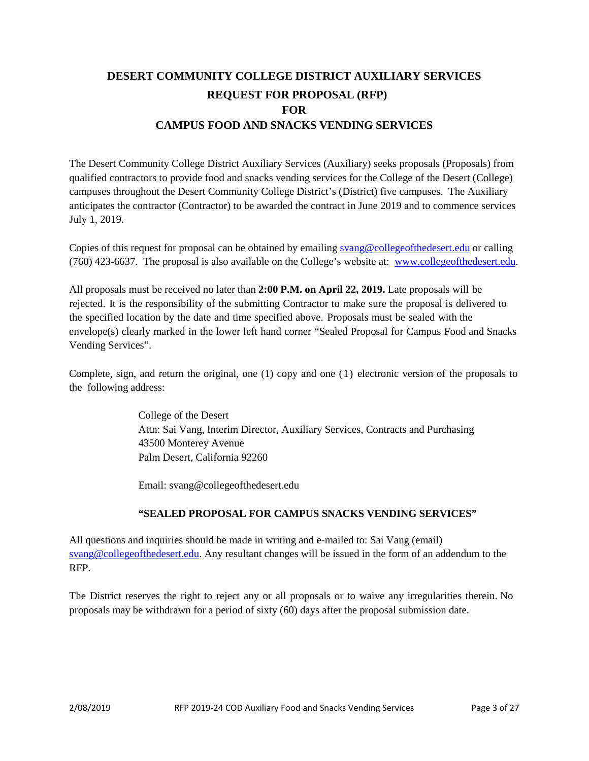# <span id="page-2-0"></span>**DESERT COMMUNITY COLLEGE DISTRICT AUXILIARY SERVICES REQUEST FOR PROPOSAL (RFP) FOR CAMPUS FOOD AND SNACKS VENDING SERVICES**

The Desert Community College District Auxiliary Services (Auxiliary) seeks proposals (Proposals) from qualified contractors to provide food and snacks vending services for the College of the Desert (College) campuses throughout the Desert Community College District's (District) five campuses. The Auxiliary anticipates the contractor (Contractor) to be awarded the contract in June 2019 and to commence services July 1, 2019.

Copies of this request for proposal can be obtained by emailing [svang@collegeofthedesert.edu](mailto:svang@collegeofthedesert.edu) or calling (760) 423-6637. The proposal is also available on the College's website at: [www.collegeofthedesert.edu.](http://www.collegeofthedesert.edu/)

All proposals must be received no later than **2:00 P.M. on April 22, 2019.** Late proposals will be rejected. It is the responsibility of the submitting Contractor to make sure the proposal is delivered to the specified location by the date and time specified above. Proposals must be sealed with the envelope(s) clearly marked in the lower left hand corner "Sealed Proposal for Campus Food and Snacks Vending Services".

Complete, sign, and return the original, one (1) copy and one (1) electronic version of the proposals to the following address:

> College of the Desert Attn: Sai Vang, Interim Director, Auxiliary Services, Contracts and Purchasing 43500 Monterey Avenue Palm Desert, California 92260

Email: svang@collegeofthedesert.edu

#### **"SEALED PROPOSAL FOR CAMPUS SNACKS VENDING SERVICES"**

All questions and inquiries should be made in writing and e-mailed to: Sai Vang (email[\)](mailto:majd.askar@rccd.edu) [svang@collegeofthedesert.edu.](mailto:svang@collegeofthedesert.edu) Any resultant changes will be issued in the form of an addendum to the RFP.

The District reserves the right to reject any or all proposals or to waive any irregularities therein. No proposals may be withdrawn for a period of sixty (60) days after the proposal submission date.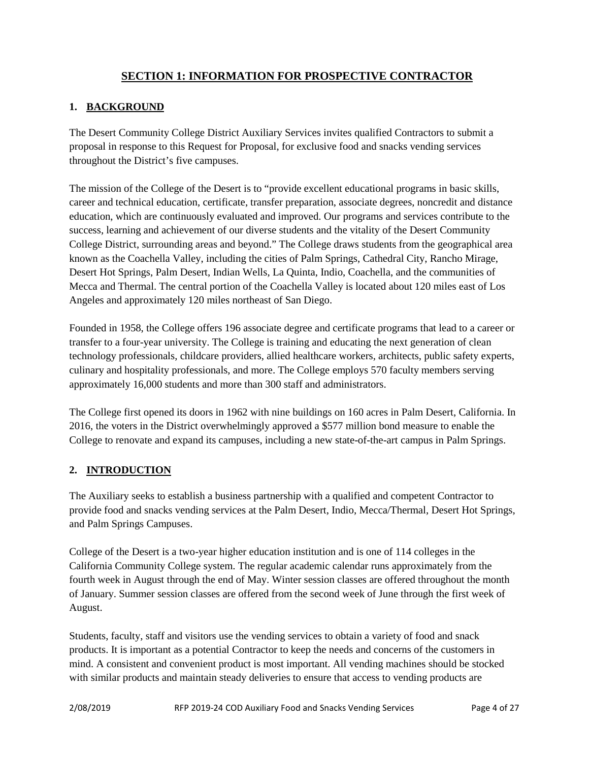# **SECTION 1: INFORMATION FOR PROSPECTIVE CONTRACTOR**

## <span id="page-3-1"></span><span id="page-3-0"></span>**1. BACKGROUND**

The Desert Community College District Auxiliary Services invites qualified Contractors to submit a proposal in response to this Request for Proposal, for exclusive food and snacks vending services throughout the District's five campuses.

The mission of the College of the Desert is to "provide excellent educational programs in basic skills, career and technical education, certificate, transfer preparation, associate degrees, noncredit and distance education, which are continuously evaluated and improved. Our programs and services contribute to the success, learning and achievement of our diverse students and the vitality of the Desert Community College District, surrounding areas and beyond." The College draws students from the geographical area known as the Coachella Valley, including the cities of Palm Springs, Cathedral City, Rancho Mirage, Desert Hot Springs, Palm Desert, Indian Wells, La Quinta, Indio, Coachella, and the communities of Mecca and Thermal. The central portion of the Coachella Valley is located about 120 miles east of Los Angeles and approximately 120 miles northeast of San Diego.

Founded in 1958, the College offers 196 associate degree and certificate programs that lead to a career or transfer to a four-year university. The College is training and educating the next generation of clean technology professionals, childcare providers, allied healthcare workers, architects, public safety experts, culinary and hospitality professionals, and more. The College employs 570 faculty members serving approximately 16,000 students and more than 300 staff and administrators.

The College first opened its doors in 1962 with nine buildings on 160 acres in Palm Desert, California. In 2016, the voters in the District overwhelmingly approved a \$577 million bond measure to enable the College to renovate and expand its campuses, including a new state-of-the-art campus in Palm Springs.

# <span id="page-3-2"></span>**2. INTRODUCTION**

The Auxiliary seeks to establish a business partnership with a qualified and competent Contractor to provide food and snacks vending services at the Palm Desert, Indio, Mecca/Thermal, Desert Hot Springs, and Palm Springs Campuses.

College of the Desert is a two-year higher education institution and is one of 114 colleges in the California Community College system. The regular academic calendar runs approximately from the fourth week in August through the end of May. Winter session classes are offered throughout the month of January. Summer session classes are offered from the second week of June through the first week of August.

Students, faculty, staff and visitors use the vending services to obtain a variety of food and snack products. It is important as a potential Contractor to keep the needs and concerns of the customers in mind. A consistent and convenient product is most important. All vending machines should be stocked with similar products and maintain steady deliveries to ensure that access to vending products are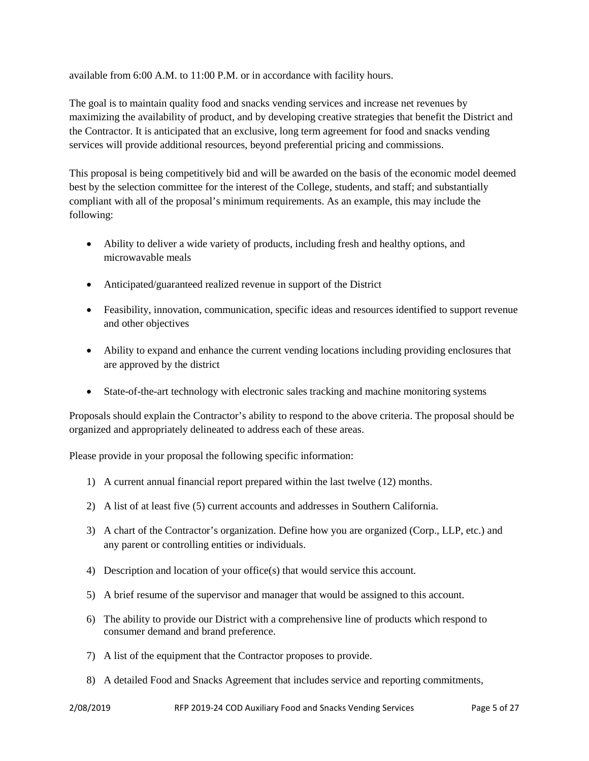available from 6:00 A.M. to 11:00 P.M. or in accordance with facility hours.

The goal is to maintain quality food and snacks vending services and increase net revenues by maximizing the availability of product, and by developing creative strategies that benefit the District and the Contractor. It is anticipated that an exclusive, long term agreement for food and snacks vending services will provide additional resources, beyond preferential pricing and commissions.

This proposal is being competitively bid and will be awarded on the basis of the economic model deemed best by the selection committee for the interest of the College, students, and staff; and substantially compliant with all of the proposal's minimum requirements. As an example, this may include the following:

- Ability to deliver a wide variety of products, including fresh and healthy options, and microwavable meals
- Anticipated/guaranteed realized revenue in support of the District
- Feasibility, innovation, communication, specific ideas and resources identified to support revenue and other objectives
- Ability to expand and enhance the current vending locations including providing enclosures that are approved by the district
- State-of-the-art technology with electronic sales tracking and machine monitoring systems

Proposals should explain the Contractor's ability to respond to the above criteria. The proposal should be organized and appropriately delineated to address each of these areas.

Please provide in your proposal the following specific information:

- 1) A current annual financial report prepared within the last twelve (12) months.
- 2) A list of at least five (5) current accounts and addresses in Southern California.
- 3) A chart of the Contractor's organization. Define how you are organized (Corp., LLP, etc.) and any parent or controlling entities or individuals.
- 4) Description and location of your office(s) that would service this account.
- 5) A brief resume of the supervisor and manager that would be assigned to this account.
- 6) The ability to provide our District with a comprehensive line of products which respond to consumer demand and brand preference.
- 7) A list of the equipment that the Contractor proposes to provide.
- 8) A detailed Food and Snacks Agreement that includes service and reporting commitments,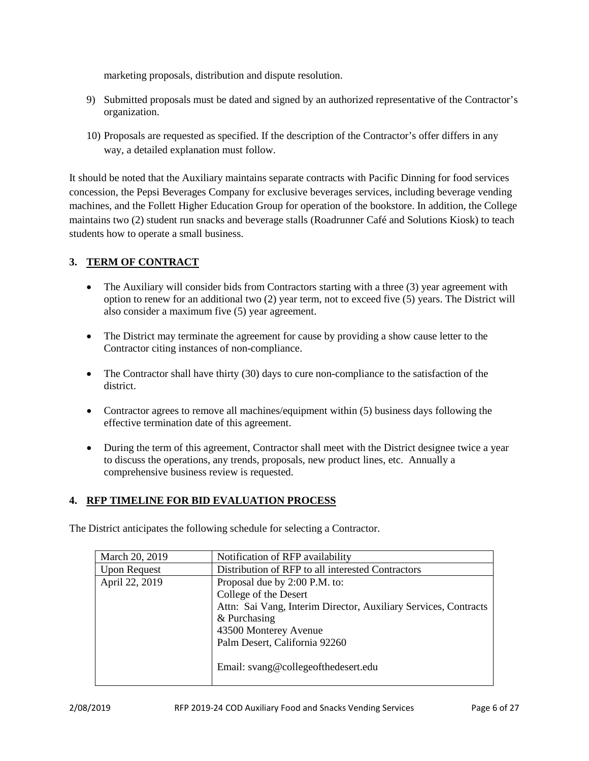marketing proposals, distribution and dispute resolution.

- 9) Submitted proposals must be dated and signed by an authorized representative of the Contractor's organization.
- 10) Proposals are requested as specified. If the description of the Contractor's offer differs in any way, a detailed explanation must follow.

It should be noted that the Auxiliary maintains separate contracts with Pacific Dinning for food services concession, the Pepsi Beverages Company for exclusive beverages services, including beverage vending machines, and the Follett Higher Education Group for operation of the bookstore. In addition, the College maintains two (2) student run snacks and beverage stalls (Roadrunner Café and Solutions Kiosk) to teach students how to operate a small business.

# <span id="page-5-0"></span>**3. TERM OF CONTRACT**

- The Auxiliary will consider bids from Contractors starting with a three (3) year agreement with option to renew for an additional two (2) year term, not to exceed five (5) years. The District will also consider a maximum five (5) year agreement.
- The District may terminate the agreement for cause by providing a show cause letter to the Contractor citing instances of non-compliance.
- The Contractor shall have thirty (30) days to cure non-compliance to the satisfaction of the district.
- Contractor agrees to remove all machines/equipment within (5) business days following the effective termination date of this agreement.
- During the term of this agreement, Contractor shall meet with the District designee twice a year to discuss the operations, any trends, proposals, new product lines, etc. Annually a comprehensive business review is requested.

#### <span id="page-5-1"></span>**4. RFP TIMELINE FOR BID EVALUATION PROCESS**

The District anticipates the following schedule for selecting a Contractor.

| March 20, 2019      | Notification of RFP availability                                |  |  |  |
|---------------------|-----------------------------------------------------------------|--|--|--|
| <b>Upon Request</b> | Distribution of RFP to all interested Contractors               |  |  |  |
| April 22, 2019      | Proposal due by 2:00 P.M. to:                                   |  |  |  |
|                     | College of the Desert                                           |  |  |  |
|                     | Attn: Sai Vang, Interim Director, Auxiliary Services, Contracts |  |  |  |
|                     | & Purchasing                                                    |  |  |  |
|                     | 43500 Monterey Avenue                                           |  |  |  |
|                     | Palm Desert, California 92260                                   |  |  |  |
|                     |                                                                 |  |  |  |
|                     | Email: svang@collegeofthedesert.edu                             |  |  |  |
|                     |                                                                 |  |  |  |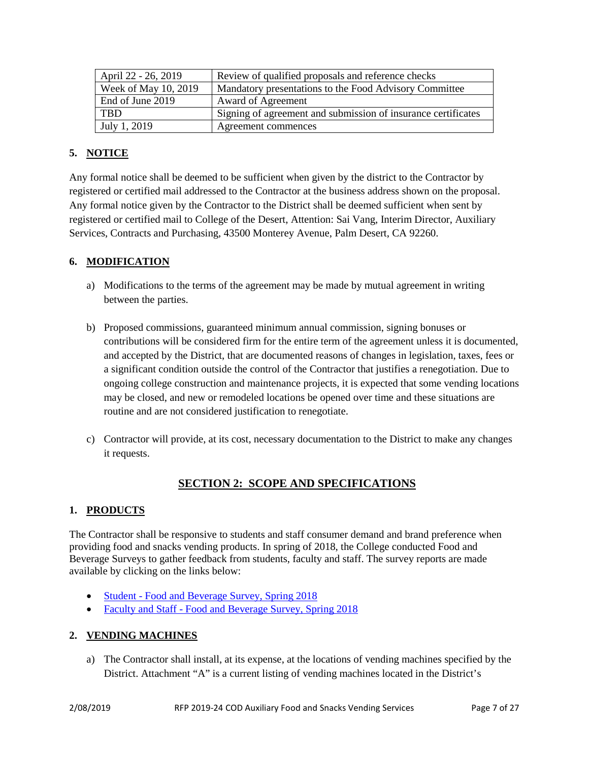| April 22 - 26, 2019  | Review of qualified proposals and reference checks            |  |  |
|----------------------|---------------------------------------------------------------|--|--|
| Week of May 10, 2019 | Mandatory presentations to the Food Advisory Committee        |  |  |
| End of June 2019     | Award of Agreement                                            |  |  |
| <b>TRD</b>           | Signing of agreement and submission of insurance certificates |  |  |
| July 1, 2019         | Agreement commences                                           |  |  |

# <span id="page-6-0"></span>**5. NOTICE**

Any formal notice shall be deemed to be sufficient when given by the district to the Contractor by registered or certified mail addressed to the Contractor at the business address shown on the proposal. Any formal notice given by the Contractor to the District shall be deemed sufficient when sent by registered or certified mail to College of the Desert, Attention: Sai Vang, Interim Director, Auxiliary Services, Contracts and Purchasing, 43500 Monterey Avenue, Palm Desert, CA 92260.

# <span id="page-6-1"></span>**6. MODIFICATION**

- a) Modifications to the terms of the agreement may be made by mutual agreement in writing between the parties.
- b) Proposed commissions, guaranteed minimum annual commission, signing bonuses or contributions will be considered firm for the entire term of the agreement unless it is documented, and accepted by the District, that are documented reasons of changes in legislation, taxes, fees or a significant condition outside the control of the Contractor that justifies a renegotiation. Due to ongoing college construction and maintenance projects, it is expected that some vending locations may be closed, and new or remodeled locations be opened over time and these situations are routine and are not considered justification to renegotiate.
- c) Contractor will provide, at its cost, necessary documentation to the District to make any changes it requests.

# **SECTION 2: SCOPE AND SPECIFICATIONS**

# <span id="page-6-3"></span><span id="page-6-2"></span>**1. PRODUCTS**

The Contractor shall be responsive to students and staff consumer demand and brand preference when providing food and snacks vending products. In spring of 2018, the College conducted Food and Beverage Surveys to gather feedback from students, faculty and staff. The survey reports are made available by clicking on the links below:

- Student [Food and Beverage Survey, Spring 2018](http://collegeofthedesert.edu/fs/fs/rfp/Current%20RFPs/Food%20and%20Beverage%20Survey%20Spring%202018%20Students%20revDM.pdf)
- Faculty and Staff [Food and Beverage Survey, Spring 2018](http://collegeofthedesert.edu/fs/fs/rfp/Current%20RFPs/Food%20and%20Beverage%20Survey%20Spring%202018%20Faculty%20and%20Staff%20revDM.pdf)

# <span id="page-6-4"></span>**2. VENDING MACHINES**

a) The Contractor shall install, at its expense, at the locations of vending machines specified by the District. Attachment "A" is a current listing of vending machines located in the District's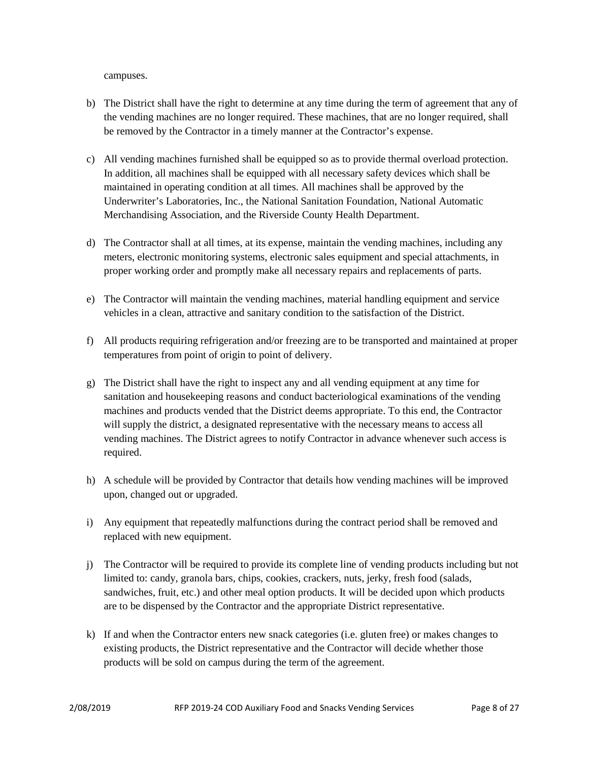campuses.

- b) The District shall have the right to determine at any time during the term of agreement that any of the vending machines are no longer required. These machines, that are no longer required, shall be removed by the Contractor in a timely manner at the Contractor's expense.
- c) All vending machines furnished shall be equipped so as to provide thermal overload protection. In addition, all machines shall be equipped with all necessary safety devices which shall be maintained in operating condition at all times. All machines shall be approved by the Underwriter's Laboratories, Inc., the National Sanitation Foundation, National Automatic Merchandising Association, and the Riverside County Health Department.
- d) The Contractor shall at all times, at its expense, maintain the vending machines, including any meters, electronic monitoring systems, electronic sales equipment and special attachments, in proper working order and promptly make all necessary repairs and replacements of parts.
- e) The Contractor will maintain the vending machines, material handling equipment and service vehicles in a clean, attractive and sanitary condition to the satisfaction of the District.
- f) All products requiring refrigeration and/or freezing are to be transported and maintained at proper temperatures from point of origin to point of delivery.
- g) The District shall have the right to inspect any and all vending equipment at any time for sanitation and housekeeping reasons and conduct bacteriological examinations of the vending machines and products vended that the District deems appropriate. To this end, the Contractor will supply the district, a designated representative with the necessary means to access all vending machines. The District agrees to notify Contractor in advance whenever such access is required.
- h) A schedule will be provided by Contractor that details how vending machines will be improved upon, changed out or upgraded.
- i) Any equipment that repeatedly malfunctions during the contract period shall be removed and replaced with new equipment.
- j) The Contractor will be required to provide its complete line of vending products including but not limited to: candy, granola bars, chips, cookies, crackers, nuts, jerky, fresh food (salads, sandwiches, fruit, etc.) and other meal option products. It will be decided upon which products are to be dispensed by the Contractor and the appropriate District representative.
- k) If and when the Contractor enters new snack categories (i.e. gluten free) or makes changes to existing products, the District representative and the Contractor will decide whether those products will be sold on campus during the term of the agreement.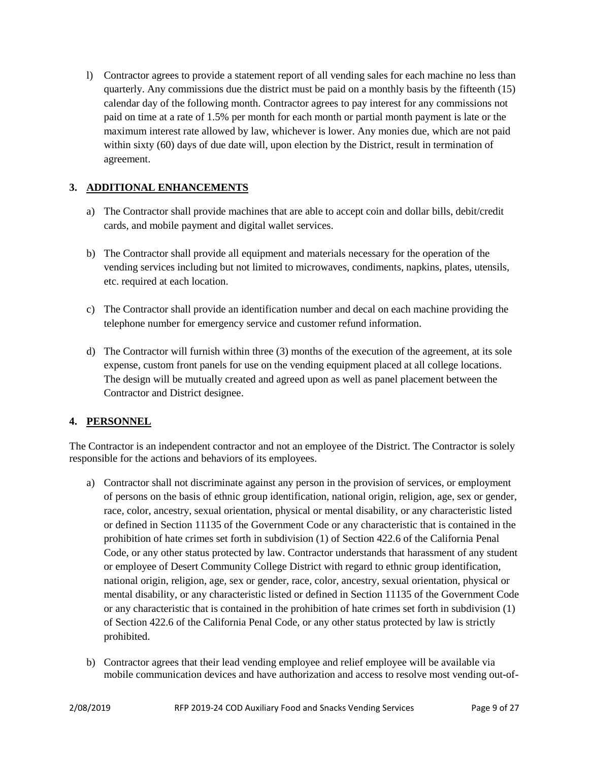l) Contractor agrees to provide a statement report of all vending sales for each machine no less than quarterly. Any commissions due the district must be paid on a monthly basis by the fifteenth (15) calendar day of the following month. Contractor agrees to pay interest for any commissions not paid on time at a rate of 1.5% per month for each month or partial month payment is late or the maximum interest rate allowed by law, whichever is lower. Any monies due, which are not paid within sixty (60) days of due date will, upon election by the District, result in termination of agreement.

# <span id="page-8-0"></span>**3. ADDITIONAL ENHANCEMENTS**

- a) The Contractor shall provide machines that are able to accept coin and dollar bills, debit/credit cards, and mobile payment and digital wallet services.
- b) The Contractor shall provide all equipment and materials necessary for the operation of the vending services including but not limited to microwaves, condiments, napkins, plates, utensils, etc. required at each location.
- c) The Contractor shall provide an identification number and decal on each machine providing the telephone number for emergency service and customer refund information.
- d) The Contractor will furnish within three (3) months of the execution of the agreement, at its sole expense, custom front panels for use on the vending equipment placed at all college locations. The design will be mutually created and agreed upon as well as panel placement between the Contractor and District designee.

# <span id="page-8-1"></span>**4. PERSONNEL**

The Contractor is an independent contractor and not an employee of the District. The Contractor is solely responsible for the actions and behaviors of its employees.

- a) Contractor shall not discriminate against any person in the provision of services, or employment of persons on the basis of ethnic group identification, national origin, religion, age, sex or gender, race, color, ancestry, sexual orientation, physical or mental disability, or any characteristic listed or defined in Section 11135 of the Government Code or any characteristic that is contained in the prohibition of hate crimes set forth in subdivision (1) of Section 422.6 of the California Penal Code, or any other status protected by law. Contractor understands that harassment of any student or employee of Desert Community College District with regard to ethnic group identification, national origin, religion, age, sex or gender, race, color, ancestry, sexual orientation, physical or mental disability, or any characteristic listed or defined in Section 11135 of the Government Code or any characteristic that is contained in the prohibition of hate crimes set forth in subdivision (1) of Section 422.6 of the California Penal Code, or any other status protected by law is strictly prohibited.
- b) Contractor agrees that their lead vending employee and relief employee will be available via mobile communication devices and have authorization and access to resolve most vending out-of-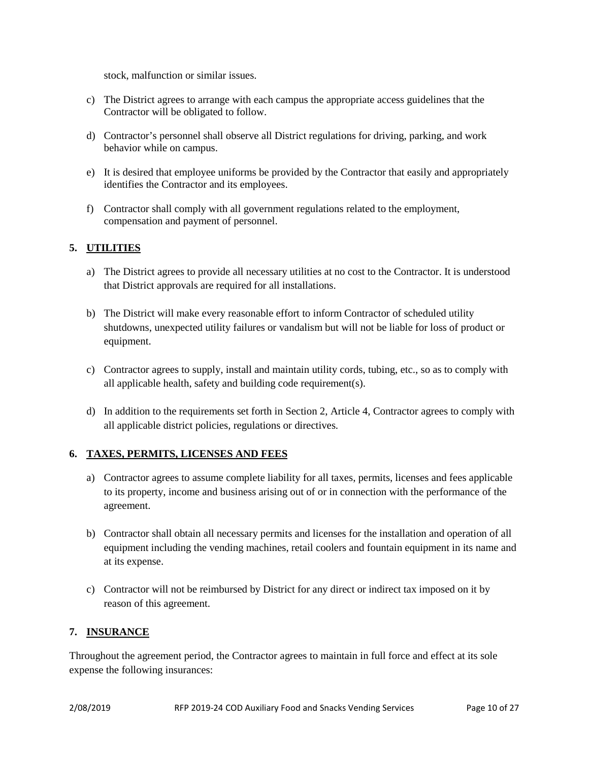stock, malfunction or similar issues.

- c) The District agrees to arrange with each campus the appropriate access guidelines that the Contractor will be obligated to follow.
- d) Contractor's personnel shall observe all District regulations for driving, parking, and work behavior while on campus.
- e) It is desired that employee uniforms be provided by the Contractor that easily and appropriately identifies the Contractor and its employees.
- f) Contractor shall comply with all government regulations related to the employment, compensation and payment of personnel.

## <span id="page-9-0"></span>**5. UTILITIES**

- a) The District agrees to provide all necessary utilities at no cost to the Contractor. It is understood that District approvals are required for all installations.
- b) The District will make every reasonable effort to inform Contractor of scheduled utility shutdowns, unexpected utility failures or vandalism but will not be liable for loss of product or equipment.
- c) Contractor agrees to supply, install and maintain utility cords, tubing, etc., so as to comply with all applicable health, safety and building code requirement(s).
- d) In addition to the requirements set forth in Section 2, Article 4, Contractor agrees to comply with all applicable district policies, regulations or directives.

#### <span id="page-9-1"></span>**6. TAXES, PERMITS, LICENSES AND FEES**

- a) Contractor agrees to assume complete liability for all taxes, permits, licenses and fees applicable to its property, income and business arising out of or in connection with the performance of the agreement.
- b) Contractor shall obtain all necessary permits and licenses for the installation and operation of all equipment including the vending machines, retail coolers and fountain equipment in its name and at its expense.
- c) Contractor will not be reimbursed by District for any direct or indirect tax imposed on it by reason of this agreement.

#### <span id="page-9-2"></span>**7. INSURANCE**

Throughout the agreement period, the Contractor agrees to maintain in full force and effect at its sole expense the following insurances: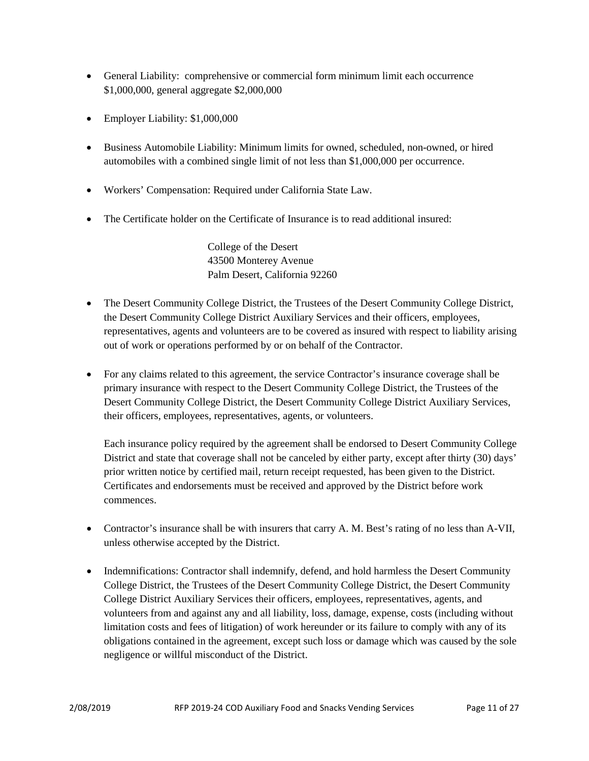- General Liability: comprehensive or commercial form minimum limit each occurrence \$1,000,000, general aggregate \$2,000,000
- Employer Liability: \$1,000,000
- Business Automobile Liability: Minimum limits for owned, scheduled, non-owned, or hired automobiles with a combined single limit of not less than \$1,000,000 per occurrence.
- Workers' Compensation: Required under California State Law.
- The Certificate holder on the Certificate of Insurance is to read additional insured:

College of the Desert 43500 Monterey Avenue Palm Desert, California 92260

- The Desert Community College District, the Trustees of the Desert Community College District, the Desert Community College District Auxiliary Services and their officers, employees, representatives, agents and volunteers are to be covered as insured with respect to liability arising out of work or operations performed by or on behalf of the Contractor.
- For any claims related to this agreement, the service Contractor's insurance coverage shall be primary insurance with respect to the Desert Community College District, the Trustees of the Desert Community College District, the Desert Community College District Auxiliary Services, their officers, employees, representatives, agents, or volunteers.

Each insurance policy required by the agreement shall be endorsed to Desert Community College District and state that coverage shall not be canceled by either party, except after thirty (30) days' prior written notice by certified mail, return receipt requested, has been given to the District. Certificates and endorsements must be received and approved by the District before work commences.

- Contractor's insurance shall be with insurers that carry A. M. Best's rating of no less than A-VII, unless otherwise accepted by the District.
- Indemnifications: Contractor shall indemnify, defend, and hold harmless the Desert Community College District, the Trustees of the Desert Community College District, the Desert Community College District Auxiliary Services their officers, employees, representatives, agents, and volunteers from and against any and all liability, loss, damage, expense, costs (including without limitation costs and fees of litigation) of work hereunder or its failure to comply with any of its obligations contained in the agreement, except such loss or damage which was caused by the sole negligence or willful misconduct of the District.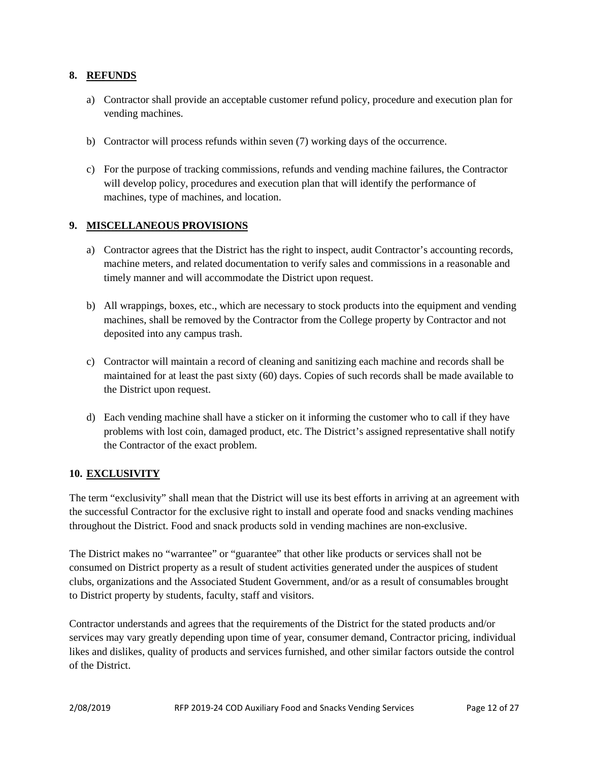## <span id="page-11-0"></span>**8. REFUNDS**

- a) Contractor shall provide an acceptable customer refund policy, procedure and execution plan for vending machines.
- b) Contractor will process refunds within seven (7) working days of the occurrence.
- c) For the purpose of tracking commissions, refunds and vending machine failures, the Contractor will develop policy, procedures and execution plan that will identify the performance of machines, type of machines, and location.

## <span id="page-11-1"></span>**9. MISCELLANEOUS PROVISIONS**

- a) Contractor agrees that the District has the right to inspect, audit Contractor's accounting records, machine meters, and related documentation to verify sales and commissions in a reasonable and timely manner and will accommodate the District upon request.
- b) All wrappings, boxes, etc., which are necessary to stock products into the equipment and vending machines, shall be removed by the Contractor from the College property by Contractor and not deposited into any campus trash.
- c) Contractor will maintain a record of cleaning and sanitizing each machine and records shall be maintained for at least the past sixty (60) days. Copies of such records shall be made available to the District upon request.
- d) Each vending machine shall have a sticker on it informing the customer who to call if they have problems with lost coin, damaged product, etc. The District's assigned representative shall notify the Contractor of the exact problem.

#### <span id="page-11-2"></span>**10. EXCLUSIVITY**

The term "exclusivity" shall mean that the District will use its best efforts in arriving at an agreement with the successful Contractor for the exclusive right to install and operate food and snacks vending machines throughout the District. Food and snack products sold in vending machines are non-exclusive.

The District makes no "warrantee" or "guarantee" that other like products or services shall not be consumed on District property as a result of student activities generated under the auspices of student clubs, organizations and the Associated Student Government, and/or as a result of consumables brought to District property by students, faculty, staff and visitors.

Contractor understands and agrees that the requirements of the District for the stated products and/or services may vary greatly depending upon time of year, consumer demand, Contractor pricing, individual likes and dislikes, quality of products and services furnished, and other similar factors outside the control of the District.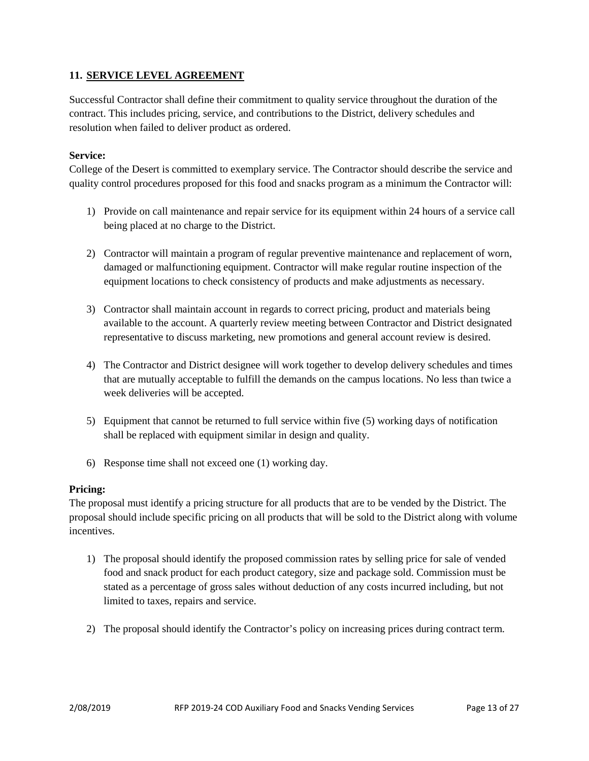## <span id="page-12-0"></span>**11. SERVICE LEVEL AGREEMENT**

Successful Contractor shall define their commitment to quality service throughout the duration of the contract. This includes pricing, service, and contributions to the District, delivery schedules and resolution when failed to deliver product as ordered.

#### **Service:**

College of the Desert is committed to exemplary service. The Contractor should describe the service and quality control procedures proposed for this food and snacks program as a minimum the Contractor will:

- 1) Provide on call maintenance and repair service for its equipment within 24 hours of a service call being placed at no charge to the District.
- 2) Contractor will maintain a program of regular preventive maintenance and replacement of worn, damaged or malfunctioning equipment. Contractor will make regular routine inspection of the equipment locations to check consistency of products and make adjustments as necessary.
- 3) Contractor shall maintain account in regards to correct pricing, product and materials being available to the account. A quarterly review meeting between Contractor and District designated representative to discuss marketing, new promotions and general account review is desired.
- 4) The Contractor and District designee will work together to develop delivery schedules and times that are mutually acceptable to fulfill the demands on the campus locations. No less than twice a week deliveries will be accepted.
- 5) Equipment that cannot be returned to full service within five (5) working days of notification shall be replaced with equipment similar in design and quality.
- 6) Response time shall not exceed one (1) working day.

#### **Pricing:**

The proposal must identify a pricing structure for all products that are to be vended by the District. The proposal should include specific pricing on all products that will be sold to the District along with volume incentives.

- 1) The proposal should identify the proposed commission rates by selling price for sale of vended food and snack product for each product category, size and package sold. Commission must be stated as a percentage of gross sales without deduction of any costs incurred including, but not limited to taxes, repairs and service.
- 2) The proposal should identify the Contractor's policy on increasing prices during contract term.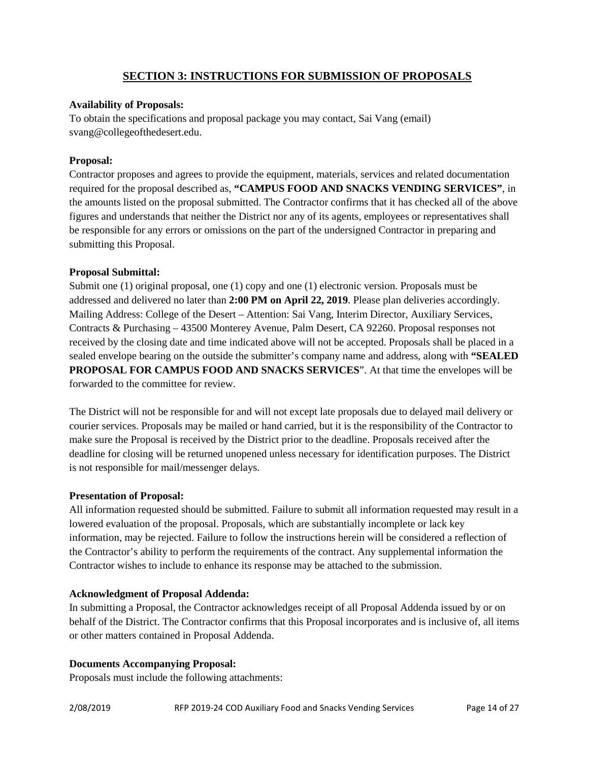# **SECTION 3: INSTRUCTIONS FOR SUBMISSION OF PROPOSALS**

#### <span id="page-13-0"></span>**Availability of Proposals:**

To obtain the specifications and proposal package you may contact, Sai Vang (email) svang@collegeofthedesert.edu.

#### **Proposal:**

Contractor proposes and agrees to provide the equipment, materials, services and related documentation required for the proposal described as, **"CAMPUS FOOD AND SNACKS VENDING SERVICES"**, in the amounts listed on the proposal submitted. The Contractor confirms that it has checked all of the above figures and understands that neither the District nor any of its agents, employees or representatives shall be responsible for any errors or omissions on the part of the undersigned Contractor in preparing and submitting this Proposal.

#### **Proposal Submittal:**

Submit one (1) original proposal, one (1) copy and one (1) electronic version. Proposals must be addressed and delivered no later than **2:00 PM on April 22, 2019**. Please plan deliveries accordingly. Mailing Address: College of the Desert – Attention: Sai Vang, Interim Director, Auxiliary Services, Contracts & Purchasing – 43500 Monterey Avenue, Palm Desert, CA 92260. Proposal responses not received by the closing date and time indicated above will not be accepted. Proposals shall be placed in a sealed envelope bearing on the outside the submitter's company name and address, along with **"SEALED PROPOSAL FOR CAMPUS FOOD AND SNACKS SERVICES**". At that time the envelopes will be forwarded to the committee for review.

The District will not be responsible for and will not except late proposals due to delayed mail delivery or courier services. Proposals may be mailed or hand carried, but it is the responsibility of the Contractor to make sure the Proposal is received by the District prior to the deadline. Proposals received after the deadline for closing will be returned unopened unless necessary for identification purposes. The District is not responsible for mail/messenger delays.

#### **Presentation of Proposal:**

All information requested should be submitted. Failure to submit all information requested may result in a lowered evaluation of the proposal. Proposals, which are substantially incomplete or lack key information, may be rejected. Failure to follow the instructions herein will be considered a reflection of the Contractor's ability to perform the requirements of the contract. Any supplemental information the Contractor wishes to include to enhance its response may be attached to the submission.

#### **Acknowledgment of Proposal Addenda:**

In submitting a Proposal, the Contractor acknowledges receipt of all Proposal Addenda issued by or on behalf of the District. The Contractor confirms that this Proposal incorporates and is inclusive of, all items or other matters contained in Proposal Addenda.

#### **Documents Accompanying Proposal:**

Proposals must include the following attachments: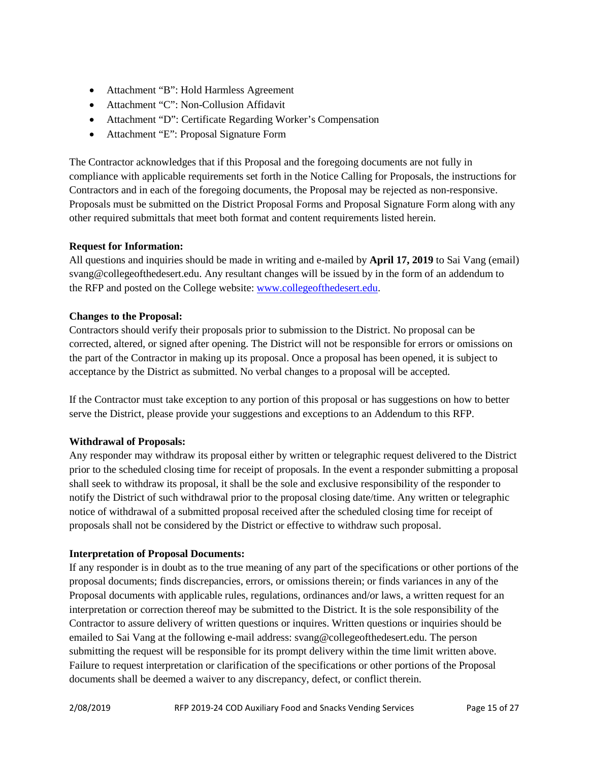- Attachment "B": Hold Harmless Agreement
- Attachment "C": Non-Collusion Affidavit
- Attachment "D": Certificate Regarding Worker's Compensation
- Attachment "E": Proposal Signature Form

The Contractor acknowledges that if this Proposal and the foregoing documents are not fully in compliance with applicable requirements set forth in the Notice Calling for Proposals, the instructions for Contractors and in each of the foregoing documents, the Proposal may be rejected as non-responsive. Proposals must be submitted on the District Proposal Forms and Proposal Signature Form along with any other required submittals that meet both format and content requirements listed herein.

## **Request for Information:**

All questions and inquiries should be made in writing and e-mailed by **April 17, 2019** to Sai Vang (email) svang@collegeofthedesert.edu. Any resultant changes will be issued by in the form of an addendum to the RFP and posted on the College website: [www.collegeofthedesert.edu.](http://www.collegeofthedesert.edu/)

#### **Changes to the Proposal:**

Contractors should verify their proposals prior to submission to the District. No proposal can be corrected, altered, or signed after opening. The District will not be responsible for errors or omissions on the part of the Contractor in making up its proposal. Once a proposal has been opened, it is subject to acceptance by the District as submitted. No verbal changes to a proposal will be accepted.

If the Contractor must take exception to any portion of this proposal or has suggestions on how to better serve the District, please provide your suggestions and exceptions to an Addendum to this RFP.

# **Withdrawal of Proposals:**

Any responder may withdraw its proposal either by written or telegraphic request delivered to the District prior to the scheduled closing time for receipt of proposals. In the event a responder submitting a proposal shall seek to withdraw its proposal, it shall be the sole and exclusive responsibility of the responder to notify the District of such withdrawal prior to the proposal closing date/time. Any written or telegraphic notice of withdrawal of a submitted proposal received after the scheduled closing time for receipt of proposals shall not be considered by the District or effective to withdraw such proposal.

#### **Interpretation of Proposal Documents:**

If any responder is in doubt as to the true meaning of any part of the specifications or other portions of the proposal documents; finds discrepancies, errors, or omissions therein; or finds variances in any of the Proposal documents with applicable rules, regulations, ordinances and/or laws, a written request for an interpretation or correction thereof may be submitted to the District. It is the sole responsibility of the Contractor to assure delivery of written questions or inquires. Written questions or inquiries should be emailed to Sai Vang at the following e-mail address: svang@collegeofthedesert.edu. The person submitting the request will be responsible for its prompt delivery within the time limit written above. Failure to request interpretation or clarification of the specifications or other portions of the Proposal documents shall be deemed a waiver to any discrepancy, defect, or conflict therein.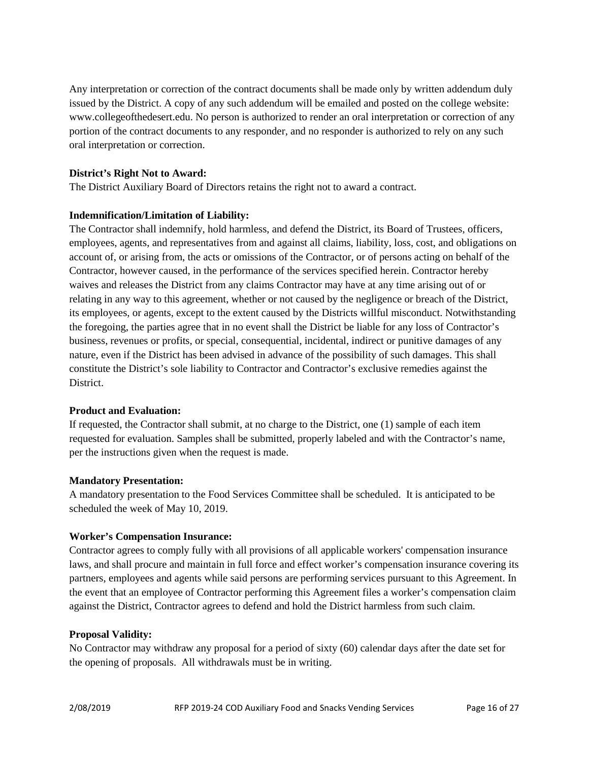Any interpretation or correction of the contract documents shall be made only by written addendum duly issued by the District. A copy of any such addendum will be emailed and posted on the college website: www.collegeofthedesert.edu. No person is authorized to render an oral interpretation or correction of any portion of the contract documents to any responder, and no responder is authorized to rely on any such oral interpretation or correction.

#### **District's Right Not to Award:**

The District Auxiliary Board of Directors retains the right not to award a contract.

#### **Indemnification/Limitation of Liability:**

The Contractor shall indemnify, hold harmless, and defend the District, its Board of Trustees, officers, employees, agents, and representatives from and against all claims, liability, loss, cost, and obligations on account of, or arising from, the acts or omissions of the Contractor, or of persons acting on behalf of the Contractor, however caused, in the performance of the services specified herein. Contractor hereby waives and releases the District from any claims Contractor may have at any time arising out of or relating in any way to this agreement, whether or not caused by the negligence or breach of the District, its employees, or agents, except to the extent caused by the Districts willful misconduct. Notwithstanding the foregoing, the parties agree that in no event shall the District be liable for any loss of Contractor's business, revenues or profits, or special, consequential, incidental, indirect or punitive damages of any nature, even if the District has been advised in advance of the possibility of such damages. This shall constitute the District's sole liability to Contractor and Contractor's exclusive remedies against the District.

#### **Product and Evaluation:**

If requested, the Contractor shall submit, at no charge to the District, one (1) sample of each item requested for evaluation. Samples shall be submitted, properly labeled and with the Contractor's name, per the instructions given when the request is made.

#### **Mandatory Presentation:**

A mandatory presentation to the Food Services Committee shall be scheduled. It is anticipated to be scheduled the week of May 10, 2019.

#### **Worker's Compensation Insurance:**

Contractor agrees to comply fully with all provisions of all applicable workers' compensation insurance laws, and shall procure and maintain in full force and effect worker's compensation insurance covering its partners, employees and agents while said persons are performing services pursuant to this Agreement. In the event that an employee of Contractor performing this Agreement files a worker's compensation claim against the District, Contractor agrees to defend and hold the District harmless from such claim.

#### **Proposal Validity:**

No Contractor may withdraw any proposal for a period of sixty (60) calendar days after the date set for the opening of proposals. All withdrawals must be in writing.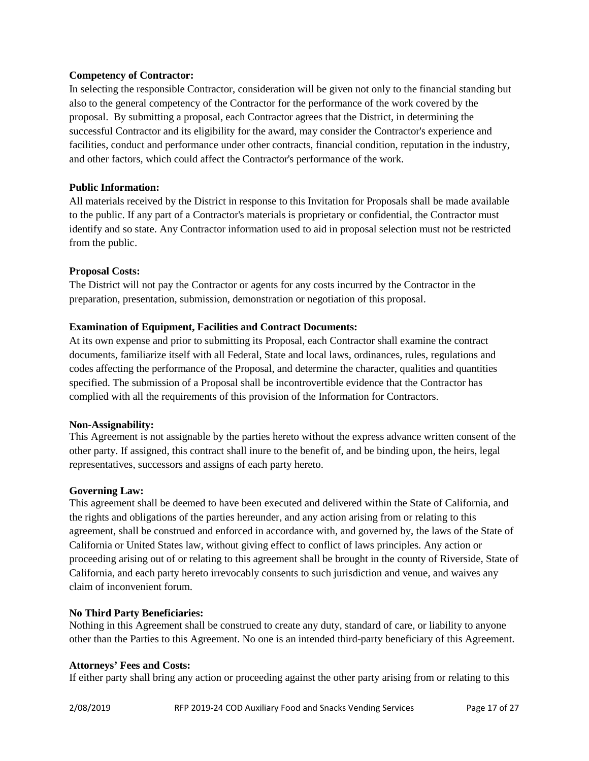#### **Competency of Contractor:**

In selecting the responsible Contractor, consideration will be given not only to the financial standing but also to the general competency of the Contractor for the performance of the work covered by the proposal. By submitting a proposal, each Contractor agrees that the District, in determining the successful Contractor and its eligibility for the award, may consider the Contractor's experience and facilities, conduct and performance under other contracts, financial condition, reputation in the industry, and other factors, which could affect the Contractor's performance of the work.

#### **Public Information:**

All materials received by the District in response to this Invitation for Proposals shall be made available to the public. If any part of a Contractor's materials is proprietary or confidential, the Contractor must identify and so state. Any Contractor information used to aid in proposal selection must not be restricted from the public.

#### **Proposal Costs:**

The District will not pay the Contractor or agents for any costs incurred by the Contractor in the preparation, presentation, submission, demonstration or negotiation of this proposal.

#### **Examination of Equipment, Facilities and Contract Documents:**

At its own expense and prior to submitting its Proposal, each Contractor shall examine the contract documents, familiarize itself with all Federal, State and local laws, ordinances, rules, regulations and codes affecting the performance of the Proposal, and determine the character, qualities and quantities specified. The submission of a Proposal shall be incontrovertible evidence that the Contractor has complied with all the requirements of this provision of the Information for Contractors.

#### **Non-Assignability:**

This Agreement is not assignable by the parties hereto without the express advance written consent of the other party. If assigned, this contract shall inure to the benefit of, and be binding upon, the heirs, legal representatives, successors and assigns of each party hereto.

#### **Governing Law:**

This agreement shall be deemed to have been executed and delivered within the State of California, and the rights and obligations of the parties hereunder, and any action arising from or relating to this agreement, shall be construed and enforced in accordance with, and governed by, the laws of the State of California or United States law, without giving effect to conflict of laws principles. Any action or proceeding arising out of or relating to this agreement shall be brought in the county of Riverside, State of California, and each party hereto irrevocably consents to such jurisdiction and venue, and waives any claim of inconvenient forum.

#### **No Third Party Beneficiaries:**

Nothing in this Agreement shall be construed to create any duty, standard of care, or liability to anyone other than the Parties to this Agreement. No one is an intended third-party beneficiary of this Agreement.

#### **Attorneys' Fees and Costs:**

If either party shall bring any action or proceeding against the other party arising from or relating to this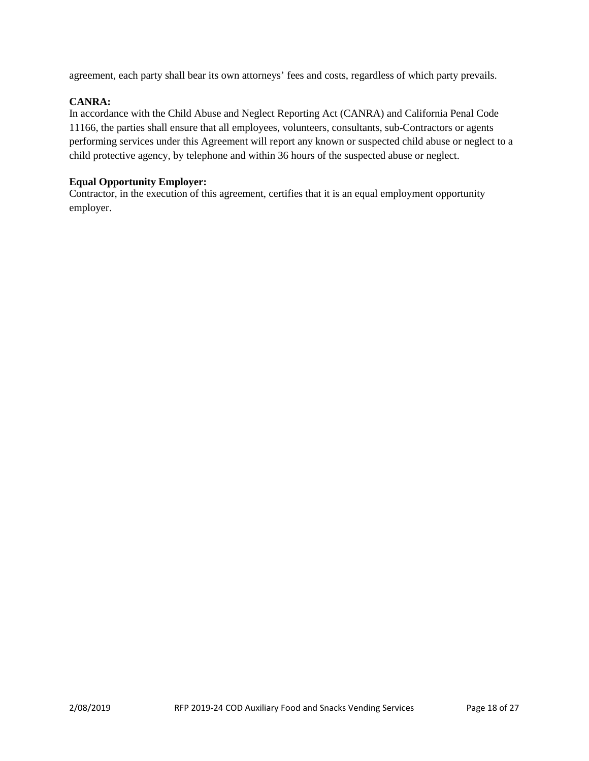agreement, each party shall bear its own attorneys' fees and costs, regardless of which party prevails.

#### **CANRA:**

In accordance with the Child Abuse and Neglect Reporting Act (CANRA) and California Penal Code 11166, the parties shall ensure that all employees, volunteers, consultants, sub-Contractors or agents performing services under this Agreement will report any known or suspected child abuse or neglect to a child protective agency, by telephone and within 36 hours of the suspected abuse or neglect.

#### **Equal Opportunity Employer:**

Contractor, in the execution of this agreement, certifies that it is an equal employment opportunity employer.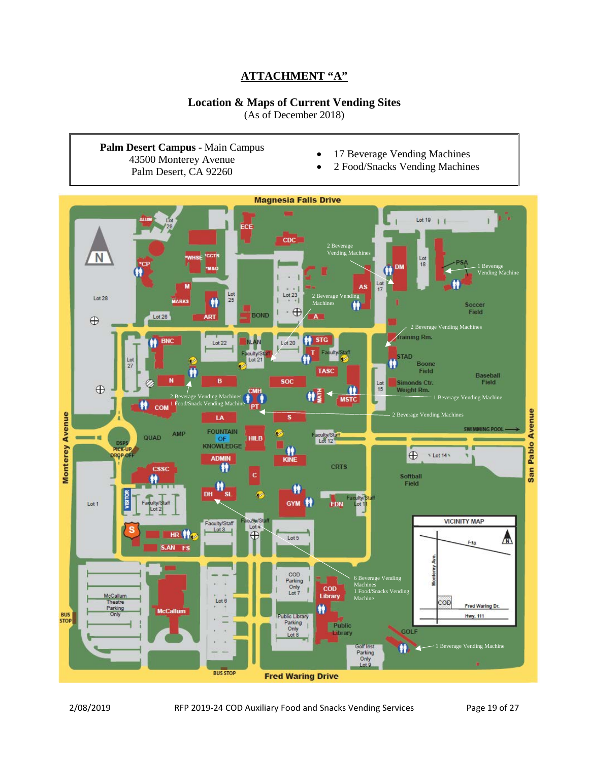# **ATTACHMENT "A"**

# **Location & Maps of Current Vending Sites**

(As of December 2018)

<span id="page-18-0"></span>**Palm Desert Campus** - Main Campus 43500 Monterey Avenue Palm Desert, CA 92260

- 17 Beverage Vending Machines
- 2 Food/Snacks Vending Machines

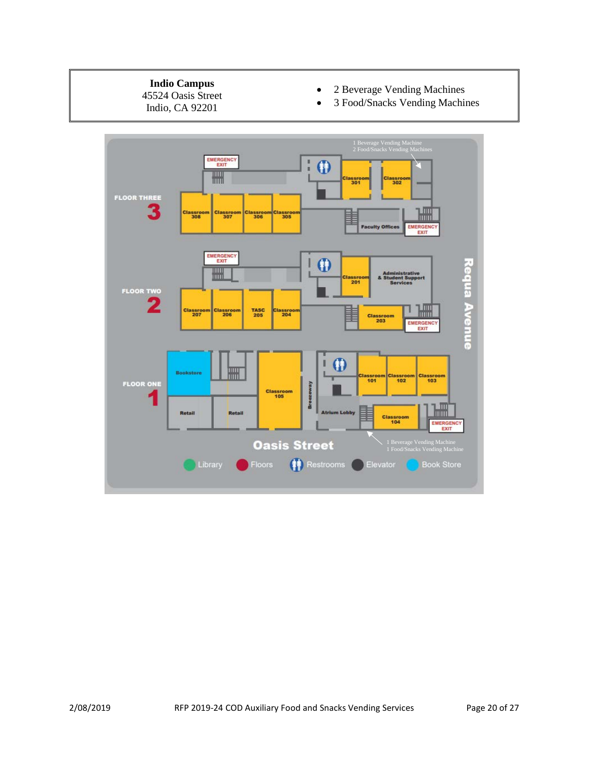#### **Indio Campus**

45524 Oasis Street Indio, CA 92201

- 2 Beverage Vending Machines
- 3 Food/Snacks Vending Machines

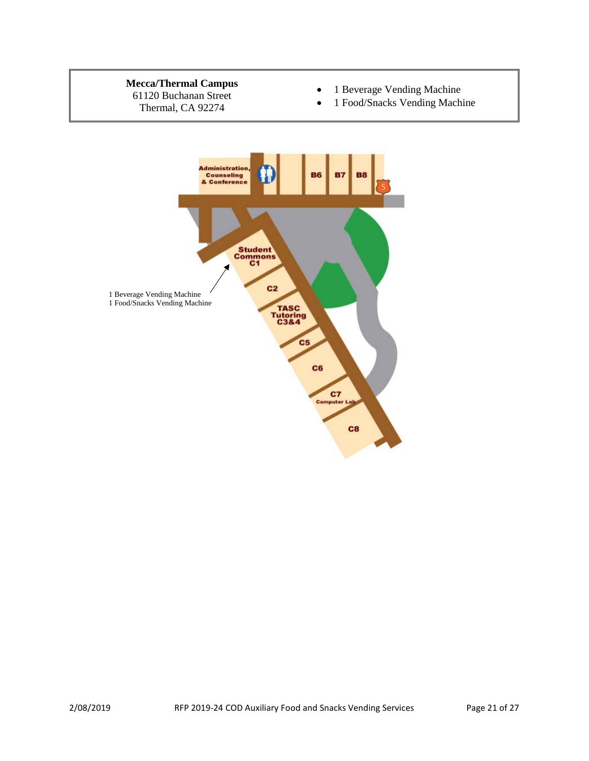# **Mecca/Thermal Campus**

61120 Buchanan Street Thermal, CA 92274

- 1 Beverage Vending Machine
- 1 Food/Snacks Vending Machine

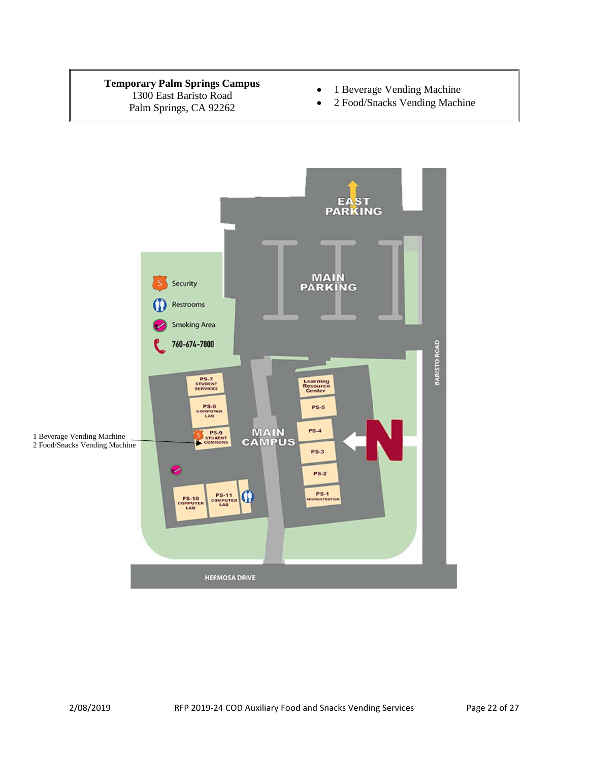#### **Temporary Palm Springs Campus** 1300 East Baristo Road Palm Springs, CA 92262

- 1 Beverage Vending Machine
- 2 Food/Snacks Vending Machine

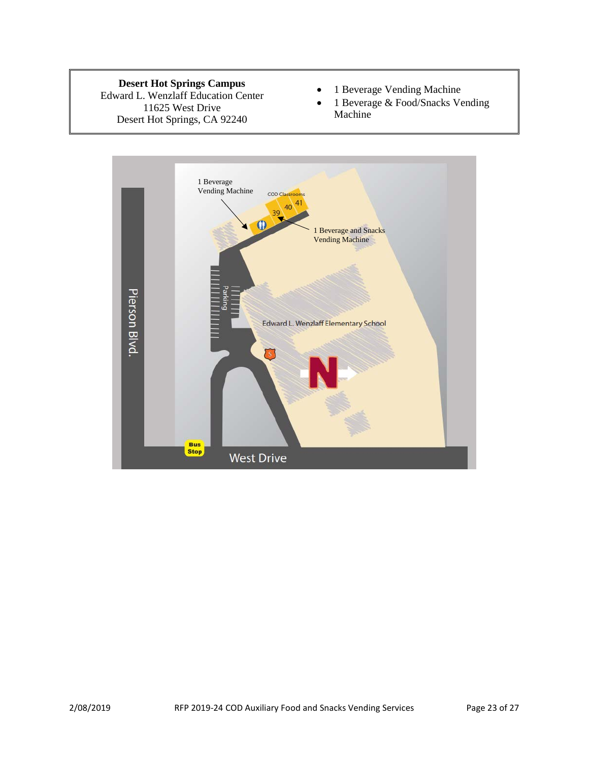**Desert Hot Springs Campus**

Edward L. Wenzlaff Education Center 11625 West Drive Desert Hot Springs, CA 92240

- 1 Beverage Vending Machine
- 1 Beverage & Food/Snacks Vending Machine

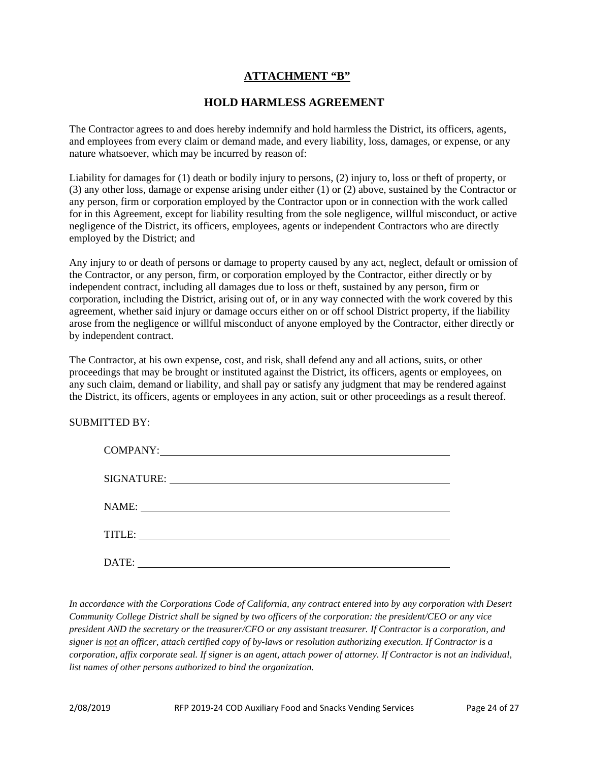# **ATTACHMENT "B"**

# **HOLD HARMLESS AGREEMENT**

<span id="page-23-0"></span>The Contractor agrees to and does hereby indemnify and hold harmless the District, its officers, agents, and employees from every claim or demand made, and every liability, loss, damages, or expense, or any nature whatsoever, which may be incurred by reason of:

Liability for damages for (1) death or bodily injury to persons, (2) injury to, loss or theft of property, or (3) any other loss, damage or expense arising under either (1) or (2) above, sustained by the Contractor or any person, firm or corporation employed by the Contractor upon or in connection with the work called for in this Agreement, except for liability resulting from the sole negligence, willful misconduct, or active negligence of the District, its officers, employees, agents or independent Contractors who are directly employed by the District; and

Any injury to or death of persons or damage to property caused by any act, neglect, default or omission of the Contractor, or any person, firm, or corporation employed by the Contractor, either directly or by independent contract, including all damages due to loss or theft, sustained by any person, firm or corporation, including the District, arising out of, or in any way connected with the work covered by this agreement, whether said injury or damage occurs either on or off school District property, if the liability arose from the negligence or willful misconduct of anyone employed by the Contractor, either directly or by independent contract.

The Contractor, at his own expense, cost, and risk, shall defend any and all actions, suits, or other proceedings that may be brought or instituted against the District, its officers, agents or employees, on any such claim, demand or liability, and shall pay or satisfy any judgment that may be rendered against the District, its officers, agents or employees in any action, suit or other proceedings as a result thereof.

#### SUBMITTED BY:

| DATE: |
|-------|

*In accordance with the Corporations Code of California, any contract entered into by any corporation with Desert Community College District shall be signed by two officers of the corporation: the president/CEO or any vice president AND the secretary or the treasurer/CFO or any assistant treasurer. If Contractor is a corporation, and signer is not an officer, attach certified copy of by-laws or resolution authorizing execution. If Contractor is a corporation, affix corporate seal. If signer is an agent, attach power of attorney. If Contractor is not an individual, list names of other persons authorized to bind the organization.*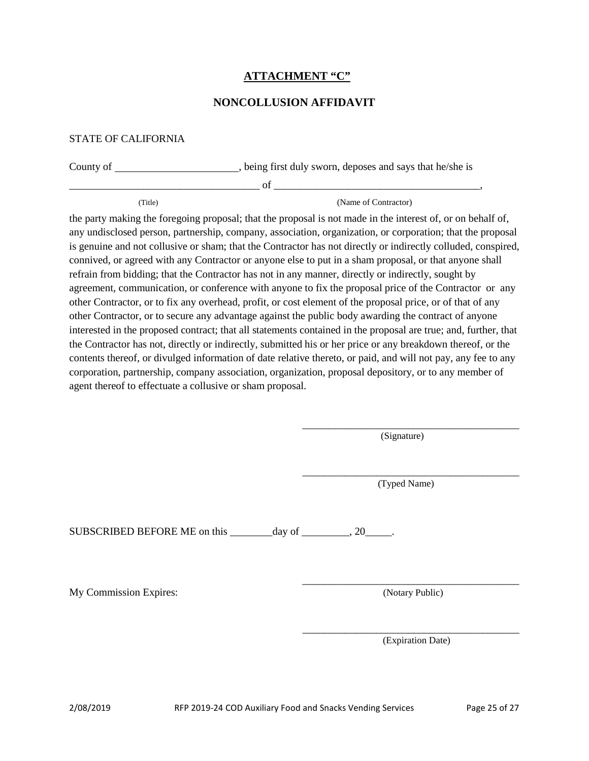# **ATTACHMENT "C"**

## **NONCOLLUSION AFFIDAVIT**

#### <span id="page-24-0"></span>STATE OF CALIFORNIA

| County of | , being first duly sworn, deposes and says that he/she is |
|-----------|-----------------------------------------------------------|
|           | ΩŤ                                                        |
| Title)    | (Name of Contractor)                                      |

the party making the foregoing proposal; that the proposal is not made in the interest of, or on behalf of, any undisclosed person, partnership, company, association, organization, or corporation; that the proposal is genuine and not collusive or sham; that the Contractor has not directly or indirectly colluded, conspired, connived, or agreed with any Contractor or anyone else to put in a sham proposal, or that anyone shall refrain from bidding; that the Contractor has not in any manner, directly or indirectly, sought by agreement, communication, or conference with anyone to fix the proposal price of the Contractor or any other Contractor, or to fix any overhead, profit, or cost element of the proposal price, or of that of any other Contractor, or to secure any advantage against the public body awarding the contract of anyone interested in the proposed contract; that all statements contained in the proposal are true; and, further, that the Contractor has not, directly or indirectly, submitted his or her price or any breakdown thereof, or the contents thereof, or divulged information of date relative thereto, or paid, and will not pay, any fee to any corporation, partnership, company association, organization, proposal depository, or to any member of agent thereof to effectuate a collusive or sham proposal.

> \_\_\_\_\_\_\_\_\_\_\_\_\_\_\_\_\_\_\_\_\_\_\_\_\_\_\_\_\_\_\_\_\_\_\_\_\_\_\_\_\_ (Signature)

> \_\_\_\_\_\_\_\_\_\_\_\_\_\_\_\_\_\_\_\_\_\_\_\_\_\_\_\_\_\_\_\_\_\_\_\_\_\_\_\_\_ (Typed Name)

SUBSCRIBED BEFORE ME on this \_\_\_\_\_\_\_\_day of \_\_\_\_\_\_\_, 20\_\_\_\_.

My Commission Expires: (Notary Public)

\_\_\_\_\_\_\_\_\_\_\_\_\_\_\_\_\_\_\_\_\_\_\_\_\_\_\_\_\_\_\_\_\_\_\_\_\_\_\_\_\_

\_\_\_\_\_\_\_\_\_\_\_\_\_\_\_\_\_\_\_\_\_\_\_\_\_\_\_\_\_\_\_\_\_\_\_\_\_\_\_\_\_ (Expiration Date)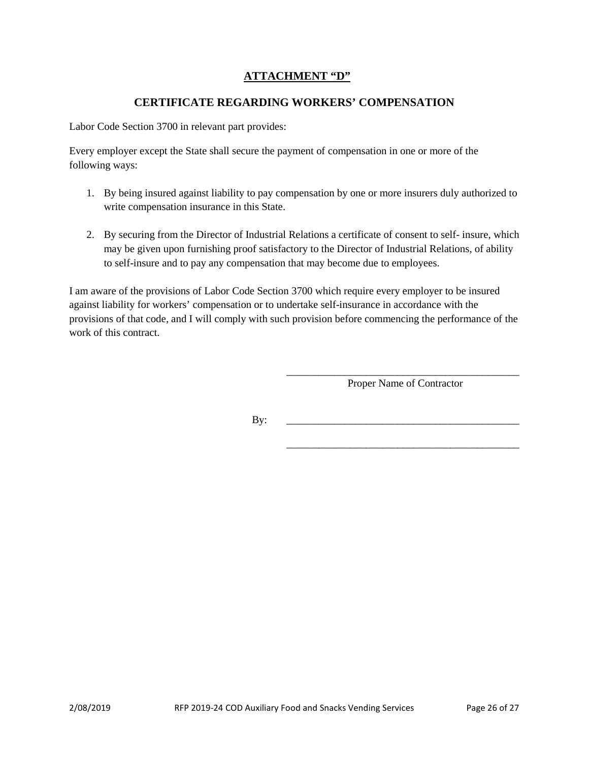# **ATTACHMENT "D"**

# **CERTIFICATE REGARDING WORKERS' COMPENSATION**

<span id="page-25-0"></span>Labor Code Section 3700 in relevant part provides:

Every employer except the State shall secure the payment of compensation in one or more of the following ways:

- 1. By being insured against liability to pay compensation by one or more insurers duly authorized to write compensation insurance in this State.
- 2. By securing from the Director of Industrial Relations a certificate of consent to self- insure, which may be given upon furnishing proof satisfactory to the Director of Industrial Relations, of ability to self-insure and to pay any compensation that may become due to employees.

I am aware of the provisions of Labor Code Section 3700 which require every employer to be insured against liability for workers' compensation or to undertake self-insurance in accordance with the provisions of that code, and I will comply with such provision before commencing the performance of the work of this contract.

> \_\_\_\_\_\_\_\_\_\_\_\_\_\_\_\_\_\_\_\_\_\_\_\_\_\_\_\_\_\_\_\_\_\_\_\_\_\_\_\_\_\_\_\_ Proper Name of Contractor

> \_\_\_\_\_\_\_\_\_\_\_\_\_\_\_\_\_\_\_\_\_\_\_\_\_\_\_\_\_\_\_\_\_\_\_\_\_\_\_\_\_\_\_\_

By: \_\_\_\_\_\_\_\_\_\_\_\_\_\_\_\_\_\_\_\_\_\_\_\_\_\_\_\_\_\_\_\_\_\_\_\_\_\_\_\_\_\_\_\_